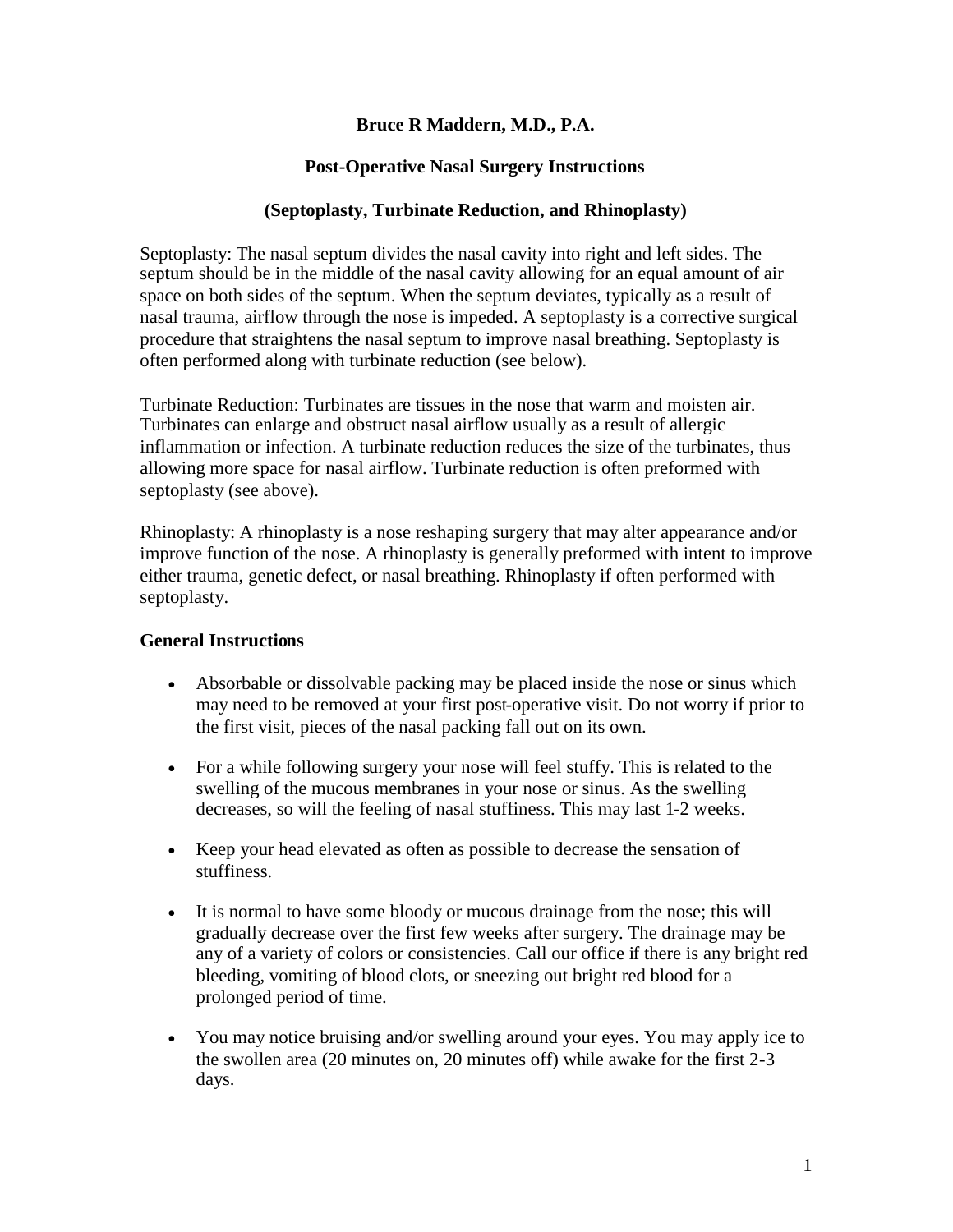### **Bruce R Maddern, M.D., P.A.**

## **Post-Operative Nasal Surgery Instructions**

### **(Septoplasty, Turbinate Reduction, and Rhinoplasty)**

Septoplasty: The nasal septum divides the nasal cavity into right and left sides. The septum should be in the middle of the nasal cavity allowing for an equal amount of air space on both sides of the septum. When the septum deviates, typically as a result of nasal trauma, airflow through the nose is impeded. A septoplasty is a corrective surgical procedure that straightens the nasal septum to improve nasal breathing. Septoplasty is often performed along with turbinate reduction (see below).

Turbinate Reduction: Turbinates are tissues in the nose that warm and moisten air. Turbinates can enlarge and obstruct nasal airflow usually as a result of allergic inflammation or infection. A turbinate reduction reduces the size of the turbinates, thus allowing more space for nasal airflow. Turbinate reduction is often preformed with septoplasty (see above).

Rhinoplasty: A rhinoplasty is a nose reshaping surgery that may alter appearance and/or improve function of the nose. A rhinoplasty is generally preformed with intent to improve either trauma, genetic defect, or nasal breathing. Rhinoplasty if often performed with septoplasty.

### **General Instructions**

- Absorbable or dissolvable packing may be placed inside the nose or sinus which may need to be removed at your first post-operative visit. Do not worry if prior to the first visit, pieces of the nasal packing fall out on its own.
- For a while following surgery your nose will feel stuffy. This is related to the swelling of the mucous membranes in your nose or sinus. As the swelling decreases, so will the feeling of nasal stuffiness. This may last 1-2 weeks.
- Keep your head elevated as often as possible to decrease the sensation of stuffiness.
- It is normal to have some bloody or mucous drainage from the nose; this will gradually decrease over the first few weeks after surgery. The drainage may be any of a variety of colors or consistencies. Call our office if there is any bright red bleeding, vomiting of blood clots, or sneezing out bright red blood for a prolonged period of time.
- You may notice bruising and/or swelling around your eyes. You may apply ice to the swollen area (20 minutes on, 20 minutes off) while awake for the first 2-3 days.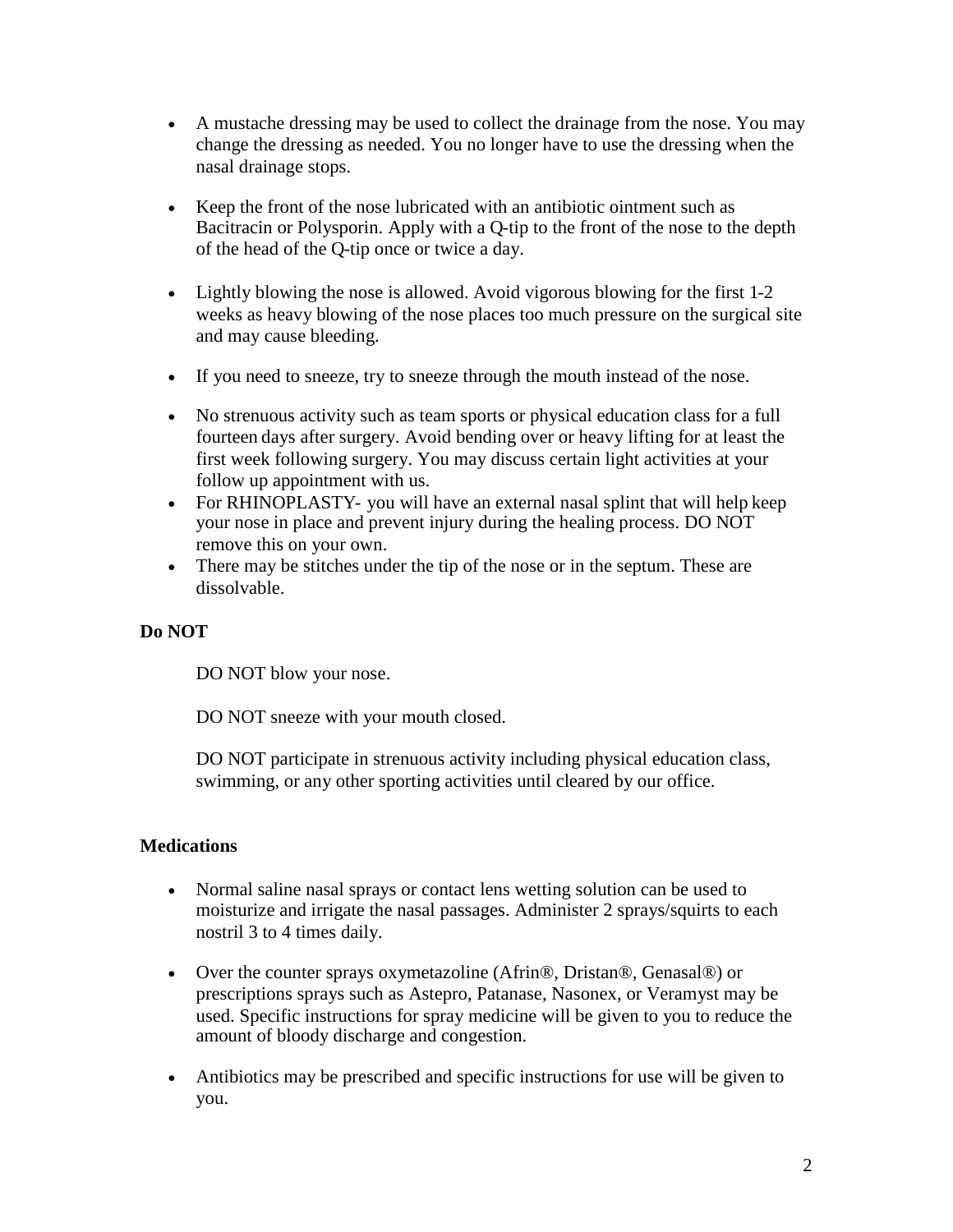- A mustache dressing may be used to collect the drainage from the nose. You may change the dressing as needed. You no longer have to use the dressing when the nasal drainage stops.
- Keep the front of the nose lubricated with an antibiotic ointment such as Bacitracin or Polysporin. Apply with a Q-tip to the front of the nose to the depth of the head of the Q-tip once or twice a day.
- Lightly blowing the nose is allowed. Avoid vigorous blowing for the first 1-2 weeks as heavy blowing of the nose places too much pressure on the surgical site and may cause bleeding.
- If you need to sneeze, try to sneeze through the mouth instead of the nose.
- No strenuous activity such as team sports or physical education class for a full fourteen days after surgery. Avoid bending over or heavy lifting for at least the first week following surgery. You may discuss certain light activities at your follow up appointment with us.
- For RHINOPLASTY- you will have an external nasal splint that will help keep your nose in place and prevent injury during the healing process. DO NOT remove this on your own.
- There may be stitches under the tip of the nose or in the septum. These are dissolvable.

# **Do NOT**

DO NOT blow your nose.

DO NOT sneeze with your mouth closed.

DO NOT participate in strenuous activity including physical education class, swimming, or any other sporting activities until cleared by our office.

### **Medications**

- Normal saline nasal sprays or contact lens wetting solution can be used to moisturize and irrigate the nasal passages. Administer 2 sprays/squirts to each nostril 3 to 4 times daily.
- Over the counter sprays oxymetazoline (Afrin®, Dristan®, Genasal®) or prescriptions sprays such as Astepro, Patanase, Nasonex, or Veramyst may be used. Specific instructions for spray medicine will be given to you to reduce the amount of bloody discharge and congestion.
- Antibiotics may be prescribed and specific instructions for use will be given to you.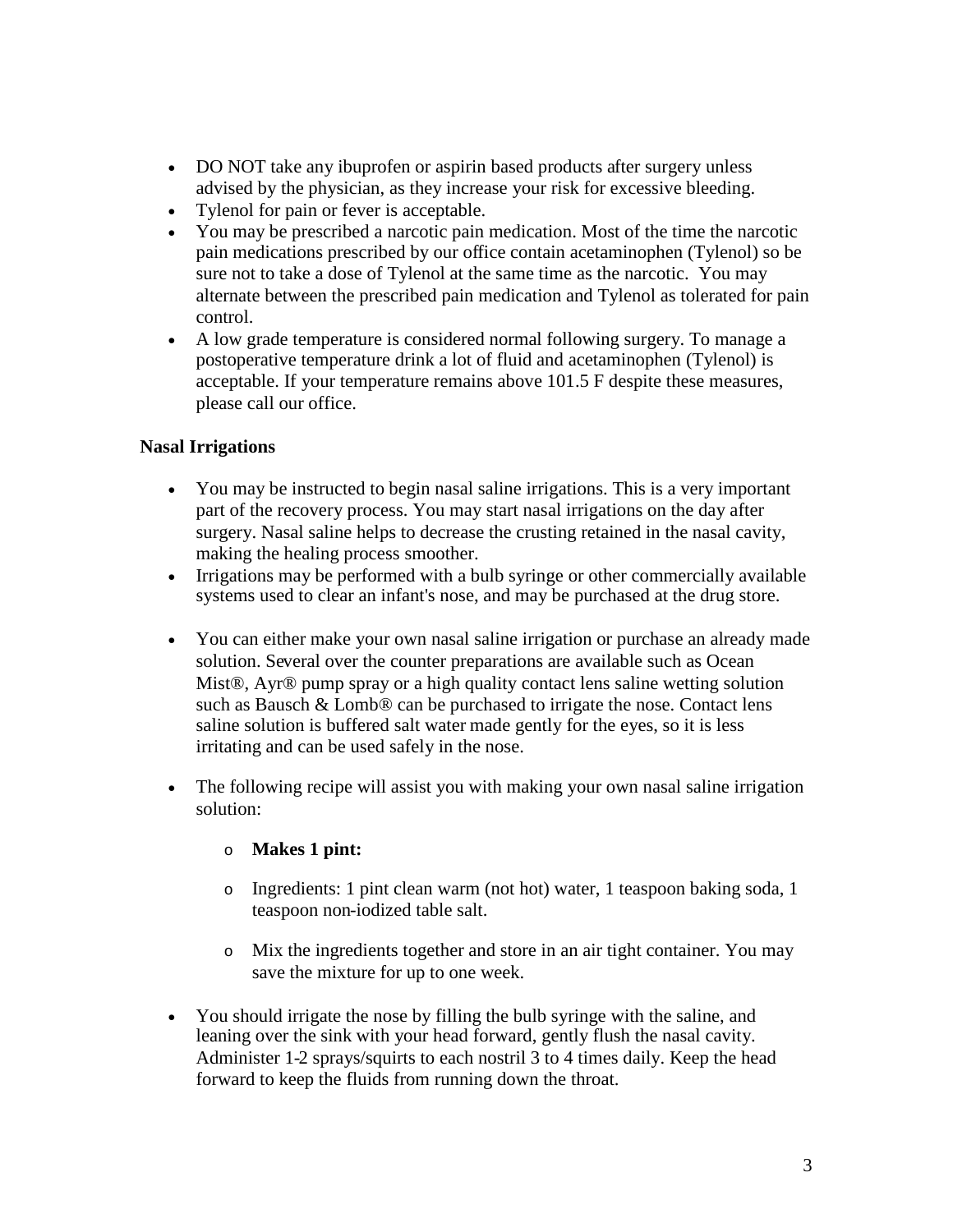- DO NOT take any ibuprofen or aspirin based products after surgery unless advised by the physician, as they increase your risk for excessive bleeding.
- Tylenol for pain or fever is acceptable.
- You may be prescribed a narcotic pain medication. Most of the time the narcotic pain medications prescribed by our office contain acetaminophen (Tylenol) so be sure not to take a dose of Tylenol at the same time as the narcotic. You may alternate between the prescribed pain medication and Tylenol as tolerated for pain control.
- A low grade temperature is considered normal following surgery. To manage a postoperative temperature drink a lot of fluid and acetaminophen (Tylenol) is acceptable. If your temperature remains above 101.5 F despite these measures, please call our office.

### **Nasal Irrigations**

- You may be instructed to begin nasal saline irrigations. This is a very important part of the recovery process. You may start nasal irrigations on the day after surgery. Nasal saline helps to decrease the crusting retained in the nasal cavity, making the healing process smoother.
- Irrigations may be performed with a bulb syringe or other commercially available systems used to clear an infant's nose, and may be purchased at the drug store.
- You can either make your own nasal saline irrigation or purchase an already made solution. Several over the counter preparations are available such as Ocean Mist®, Ayr® pump spray or a high quality contact lens saline wetting solution such as Bausch & Lomb<sup>®</sup> can be purchased to irrigate the nose. Contact lens saline solution is buffered salt water made gently for the eyes, so it is less irritating and can be used safely in the nose.
- The following recipe will assist you with making your own nasal saline irrigation solution:

### o **Makes 1 pint:**

- o Ingredients: 1 pint clean warm (not hot) water, 1 teaspoon baking soda, 1 teaspoon non-iodized table salt.
- o Mix the ingredients together and store in an air tight container. You may save the mixture for up to one week.
- You should irrigate the nose by filling the bulb syringe with the saline, and leaning over the sink with your head forward, gently flush the nasal cavity. Administer 1-2 sprays/squirts to each nostril 3 to 4 times daily. Keep the head forward to keep the fluids from running down the throat.